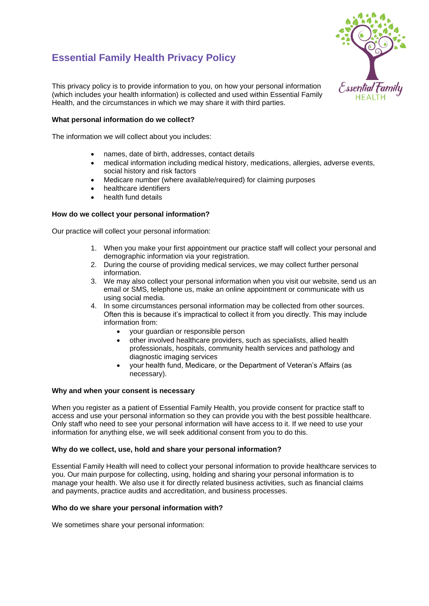# **Essential Family Health Privacy Policy**



This privacy policy is to provide information to you, on how your personal information (which includes your health information) is collected and used within Essential Family Health, and the circumstances in which we may share it with third parties.

## **What personal information do we collect?**

The information we will collect about you includes:

- names, date of birth, addresses, contact details
- medical information including medical history, medications, allergies, adverse events, social history and risk factors
- Medicare number (where available/required) for claiming purposes
- healthcare identifiers
- health fund details

## **How do we collect your personal information?**

Our practice will collect your personal information:

- 1. When you make your first appointment our practice staff will collect your personal and demographic information via your registration.
- 2. During the course of providing medical services, we may collect further personal information.
- 3. We may also collect your personal information when you visit our website, send us an email or SMS, telephone us, make an online appointment or communicate with us using social media.
- 4. In some circumstances personal information may be collected from other sources. Often this is because it's impractical to collect it from you directly. This may include information from:
	- your guardian or responsible person
	- other involved healthcare providers, such as specialists, allied health professionals, hospitals, community health services and pathology and diagnostic imaging services
	- your health fund, Medicare, or the Department of Veteran's Affairs (as necessary).

## **Why and when your consent is necessary**

When you register as a patient of Essential Family Health, you provide consent for practice staff to access and use your personal information so they can provide you with the best possible healthcare. Only staff who need to see your personal information will have access to it. If we need to use your information for anything else, we will seek additional consent from you to do this.

## **Why do we collect, use, hold and share your personal information?**

Essential Family Health will need to collect your personal information to provide healthcare services to you. Our main purpose for collecting, using, holding and sharing your personal information is to manage your health. We also use it for directly related business activities, such as financial claims and payments, practice audits and accreditation, and business processes.

## **Who do we share your personal information with?**

We sometimes share your personal information: